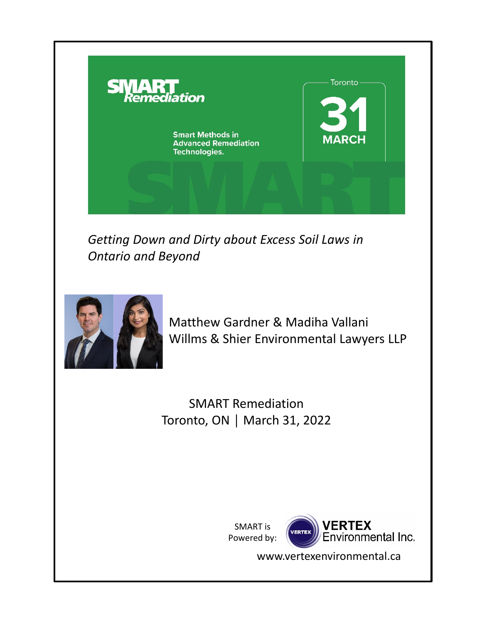

*Getting Down and Dirty about Excess Soil Laws in Ontario and Beyond*



Matthew Gardner & Madiha Vallani Willms & Shier Environmental Lawyers LLP

SMART Remediation Toronto, ON │ March 31, 2022

> SMART is Powered by:



www.vertexenvironmental.ca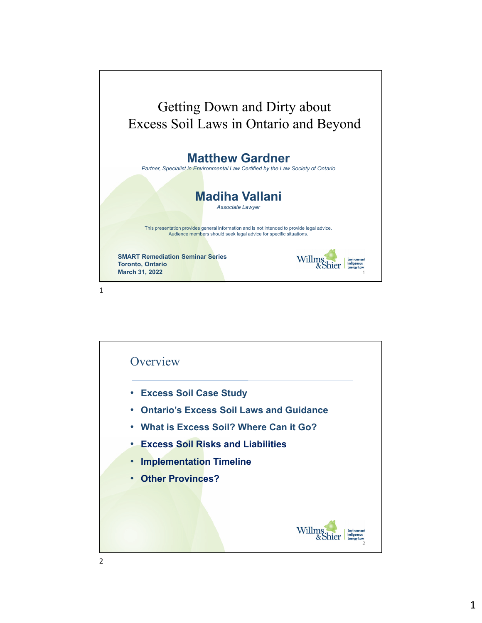

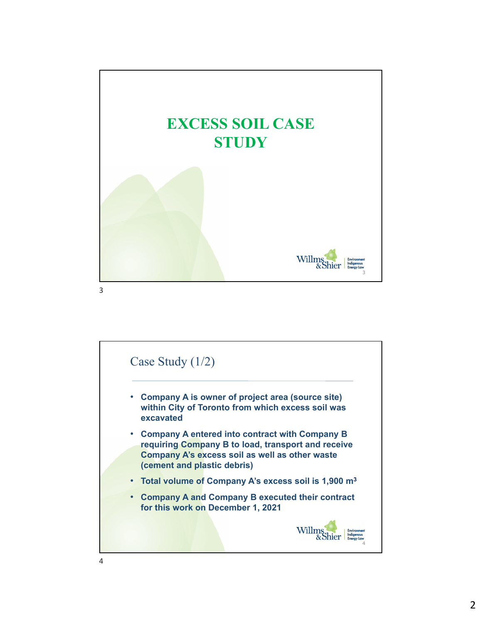



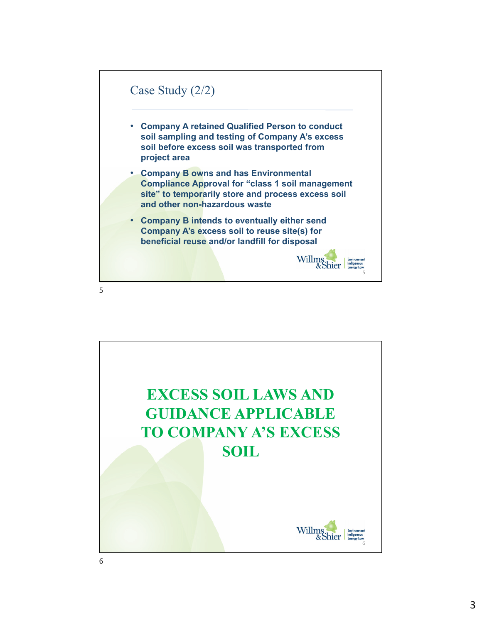

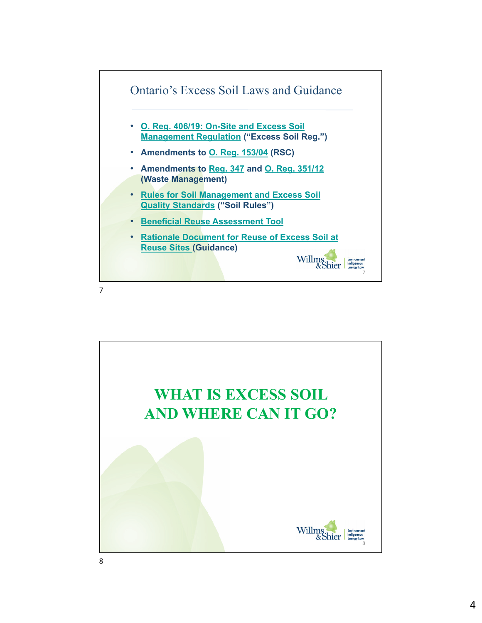

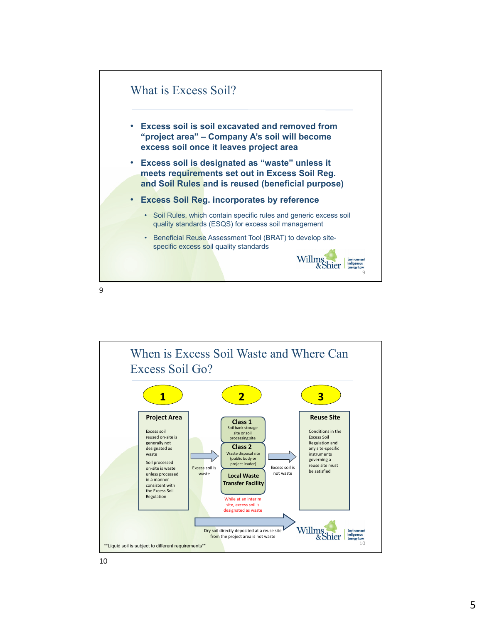

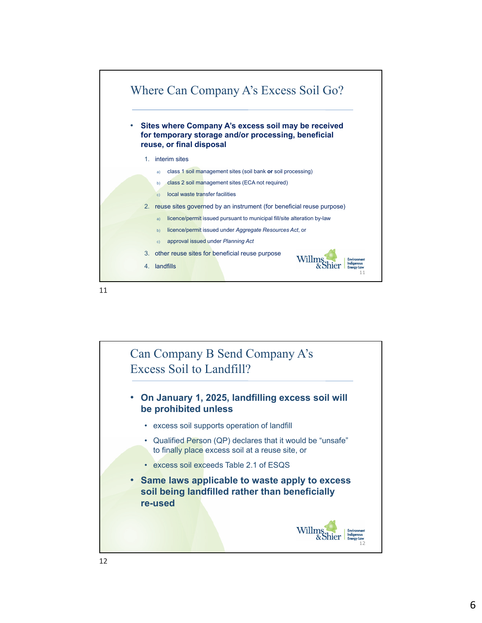

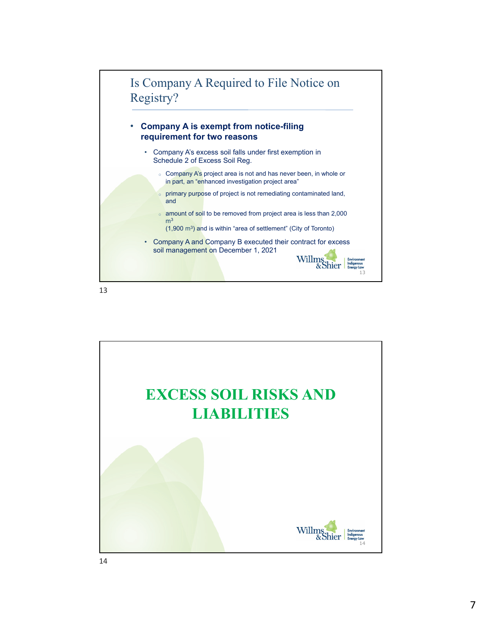

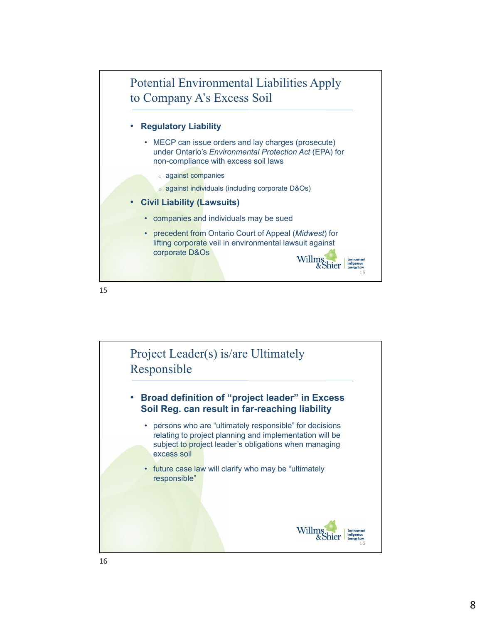

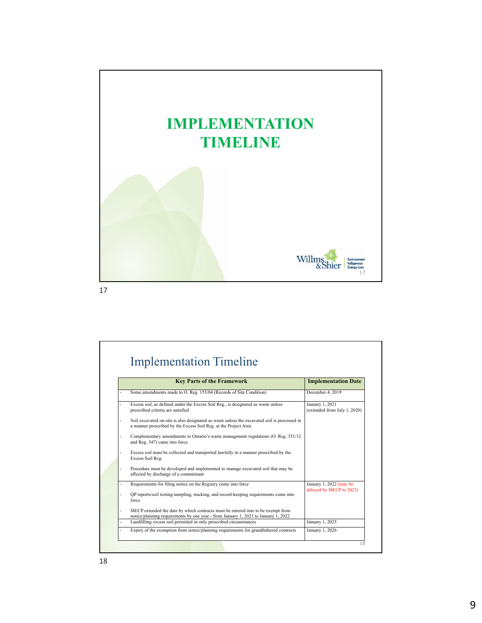

| <b>Implementation Timeline</b>                                                                                                                                         |                                                     |  |
|------------------------------------------------------------------------------------------------------------------------------------------------------------------------|-----------------------------------------------------|--|
| <b>Key Parts of the Framework</b>                                                                                                                                      | <b>Implementation Date</b>                          |  |
| Some amendments made to O. Reg. 153/04 (Records of Site Condition)                                                                                                     | December 4, 2019                                    |  |
| Excess soil, as defined under the Excess Soil Reg., is designated as waste unless<br>prescribed criteria are satisfied                                                 | January 1, 2021<br>(extended from July 1, 2020)     |  |
| Soil excavated on-site is also designated as waste unless the excavated soil is processed in<br>a manner prescribed by the Excess Soil Reg. at the Project Area        |                                                     |  |
| Complementary amendments to Ontario's waste management regulations (O. Reg. 351/12<br>and Reg. 347) came into force                                                    |                                                     |  |
| Excess soil must be collected and transported lawfully in a manner prescribed by the<br>Excess Soil Reg.                                                               |                                                     |  |
| Procedure must be developed and implemented to manage excavated soil that may be<br>affected by discharge of a contaminant                                             |                                                     |  |
| Requirements for filing notice on the Registry come into force                                                                                                         | January 1, 2022 (may be<br>delayed by MECP to 2023) |  |
| OP reports/soil testing/sampling, tracking, and record-keeping requirements come into<br>force                                                                         |                                                     |  |
| MECP extended the date by which contracts must be entered into to be exempt from<br>notice/planning requirements by one year - from January 1, 2021 to January 1, 2022 |                                                     |  |
| Landfilling excess soil permitted in only prescribed circumstances                                                                                                     | January 1, 2025                                     |  |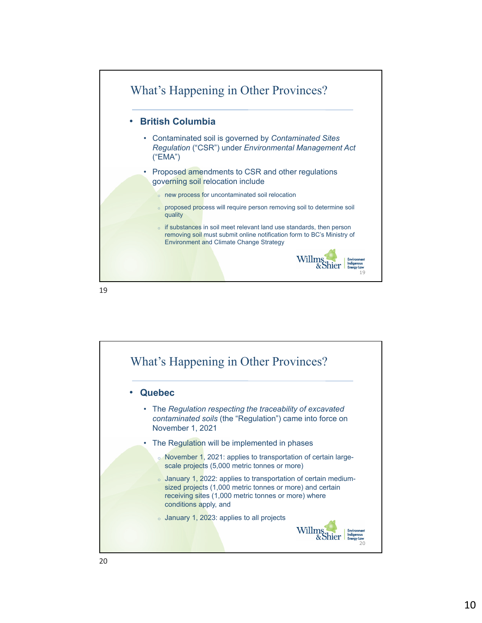